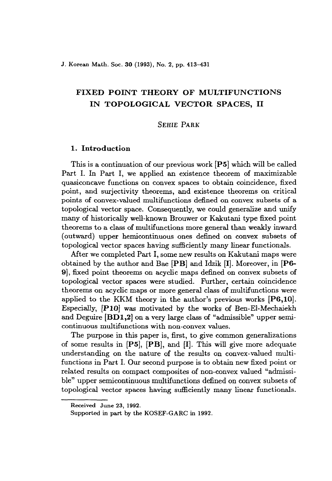# FIXED POINT THEORY OF MULTIFUNCTIONS IN TOPOLOGICAL VECTOR SPACES, 11

# SEHIE PARK

# 1. Introduction

This is a continuation of our previous work [P5] which will be called Part 1. In Part I, we applied an existence theorem of maximizable quasiconcave functions on convex spaces to obtain coincidence, fixed point, and surjectivity theorems, and existence theorems on critical points of convex-valued multifunctions defined on convex subsets of a topological vector space. Consequently, we could generalize and unify many of historically well-known Brouwer or Kakutani type fixed point theorems to a class of multifunctions more general than weakly inward (outward) upper hemicontinuous ones defined on convex subsets of topological vector spaces having sufficiently many linear functionals.

After we completed Part I, some new results on Kakutani maps were obtained by the author and Bae [PB] and Idzik [I]. Moreover, in [P6- 9], fixed point theorems on acyclic maps defined on convex subsets of topological vector spaces were studied. Further, certain coincidence theorems on acyclic maps or more general class of multifunctions were applied to the KKM theory in the author's previous works  $[P6,10]$ . Especially, *[PIOl* was motivated by the works of Ben-EI-Mechaiekh and Deguire [BD1,2] on a very large class of "admissible" upper semicontinuous multifunctions with non-convex values.

The purpose in this paper is, first, to give common generalizations of some results in [P5], [PB], and [I]. This will give more adequate understanding on the nature of the results on convex-valued multifunctions in Part 1. Our second purpose is to obtain new fixed point or related results on compact composites of non-convex valued "admissible" upper semicontinuous multifunctions defined on convex subsets of topological vector spaces having sufficiently many linear funetionals.

Received June 23, 1992.

Supported in part by the KOSEF-GARC in 1992.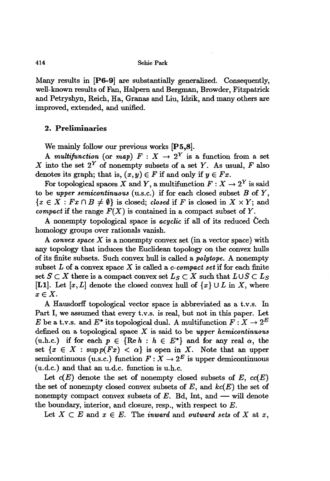Many results in **[PG-9]** are substantially generalized. Consequently, well-known results of Fan, Halpem and Bergman, Browder, Fitzpatrick and Petryshyn, Reich, Ha, Granas and Liu, Idzik, and many others are improved, extended, and unified.

## **2. Preliminaries**

We mainly follow our previous works [P5,8].

A *multifunction* (or *map*)  $F: X \rightarrow 2^Y$  is a function from a set X into the set  $2^Y$  of nonempty subsets of a set Y. As usual, F also denotes its graph; that is,  $(x, y) \in F$  if and only if  $y \in Fx$ .

For topological spaces X and Y, a multifunction  $F: X \to 2^Y$  is said to be *upper semicontinuous* (u.s.c.) if for each closed subset *B* of *Y,*  ${x \in X : Fx \cap B \neq \emptyset}$  is closed; *closed* if *F* is closed in  $X \times Y$ ; and *compact* if the range  $F(X)$  is contained in a compact subset of Y.

A nonempty topological space is *acyclic* if all of its reduced Cech homology groups over rationals vanish.

A *convex space* X is a nonempty convex set (in a vector space) with any topology that induces the Euclidean topology on the convex hulls of its finite subsets. Such convex hull is called a *polytope.* A nonempty subset L of a convex space X is called a *c-compact set* if for each finite set  $S \subset X$  there is a compact convex set  $L_S \subset X$  such that  $L \cup S \subset L_S$ [L1]. Let  $[x, L]$  denote the closed convex hull of  $\{x\} \cup L$  in X, where  $x \in X$ .

A Hausdorff topological vector space is abbreviated as a t.v.s. In Part I, we assumed that every t.v.s. is real, but not in this paper. Let E be a t.v.s. and  $E^*$  its topological dual. A multifunction  $F: X \to 2^E$ defined on a topological space X is said to be *upper hemicontinuous* (u.h.c.) if for each  $p \in \{ \text{Re } h : h \in E^* \}$  and for any real  $\alpha$ , the set  $\{x \in X : \sup p(Fx) < \alpha\}$  is open in X. Note that an upper semicontinuous (u.s.c.) function  $F: X \to 2^E$  is upper demicontinuous (u.d.c.) and that an u.d.c. function is u.h.c.

Let  $c(E)$  denote the set of nonempty closed subsets of  $E$ ,  $cc(E)$ the set of nonempty closed convex subsets of *E,* and *kc(E)* the set of nonempty compact convex subsets of  $E$ . Bd, Int, and  $-$  will denote the boundary, interior, and closure, resp., with respect to  $E$ .

Let  $X \subset E$  and  $x \in E$ . The *inward* and *outward sets* of  $X$  at  $x$ ,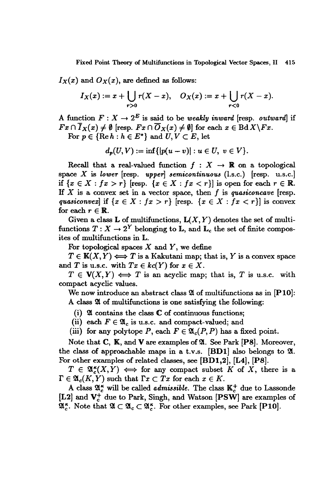Fixed Point Theory of Multifunctions in Topological Vector Spaces, 11 415

 $I_X(x)$  and  $O_X(x)$ , are defined as follows:

$$
I_X(x) := x + \bigcup_{r>0} r(X-x), \quad O_X(x) := x + \bigcup_{r<0} r(X-x).
$$

A function  $F: X \to 2^E$  is said to be *weakly inward* [resp. *outward*] if  $Fx \cap \overline{I}_X(x) \neq \emptyset$  [resp.  $Fx \cap \overline{O}_X(x) \neq \emptyset$ ] for each  $x \in \text{Bd}X\backslash Fx$ .

For  $p \in \{ \text{Re } h : h \in E^* \}$  and  $U, V \subset E$ , let

$$
d_p(U,V):=\inf\{|p(u-v)|: u\in U, v\in V\}.
$$

Recall that a real-valued function  $f : X \rightarrow \mathbb{R}$  on a topological space X is *lower* [resp. *upper*] *semicontinuous*  $(l.s.c.)$  [resp. u.s.c.] if  $\{x \in X : fx > r\}$  [resp.  $\{x \in X : fx < r\}$ ] is open for each  $r \in \mathbb{R}$ . H X is a convex set in a vector space, then *I* is *quasiconcave* [resp. *quasiconvex*] if  $\{x \in X : fx > r\}$  [resp.  $\{x \in X : fx < r\}$ ] is convex for each  $r \in \mathbb{R}$ .

Given a class **L** of multifunctions,  $L(X, Y)$  denotes the set of multifunctions  $T: X \to 2^Y$  belonging to L, and L<sub>c</sub> the set of finite composites of multifunctions in L.

For topological spaces  $X$  and  $Y$ , we define

 $T \in K(X,Y) \Longleftrightarrow T$  is a Kakutani map; that is, Y is a convex space and *T* is u.s.c. with  $Tx \in kc(Y)$  for  $x \in X$ .

 $T \in V(X, Y) \iff T$  is an acyclic map; that is, *T* is u.s.c. with compact acyclic values.

We now introduce an abstract *class* <sup>21</sup> of multifunctions *as* in [PlO]: A class  $\mathfrak A$  of multifunctions is one satisfying the following:

- (i)  $\mathfrak A$  contains the class  $\mathbb C$  of continuous functions;
- (ii) each  $F \in \mathfrak{A}_c$  is u.s.c. and compact-valued; and
- (iii) for any polytope P, each  $F \in \mathfrak{A}_{c}(P, P)$  has a fixed point.

Note that  $C$ ,  $K$ , and  $V$  are examples of  $\mathfrak{A}$ . See Park [P8]. Moreover, the class of approachable maps in a t.v.s.  $[BD1]$  also belongs to  $\mathfrak{A}$ . For other examples of related *classes,* see [BDI,2], [L4], [PS].

 $T \in \mathfrak{A}_{\epsilon}^{\kappa}(X, Y) \iff$  for any compact subset K of X, there is a  $\Gamma \in \mathfrak{A}_c(K,Y)$  such that  $\Gamma x \subset Tx$  for each  $x \in K$ .

A class  $\mathfrak{A}_{c}^{\kappa}$  will be called *admissible*. The class  $\mathbb{K}_{c}^{+}$  due to Lassonde [L2] and  $V_c^+$  due to Park, Singh, and Watson [PSW] are examples of  $\mathfrak{A}_{c}^{\kappa}$ . Note that  $\mathfrak{A} \subset \mathfrak{A}_{c} \subset \mathfrak{A}_{c}^{\kappa}$ . For other examples, see Park [P10].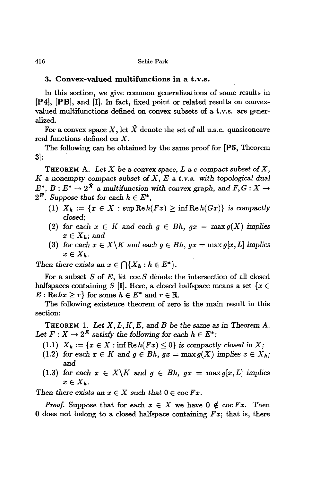# **3. Convex-valued multifunctions in a t.v.s.**

In this section, we give common generalizations of some results in [P4], [PB], and [1]. In fact, fixed point or related results on convexvalued multifunctions defined on convex subsets of a t.v.s. are generalized.

For a convex space X, let  $\hat{X}$  denote the set of all u.s.c. quasiconcave real functions defined on X.

The following can be obtained by the same proof for [P5, Theorem 3]:

THEOREM A. Let  $X$  be a convex space,  $L$  a c-compact subset of  $X$ , *K* <sup>a</sup> *nonempty* compact *subset* of *X, Eat.*v.s. *with topological* dual  $E^*$ ,  $B: E^* \to 2^{\hat{X}}$  a multifunction with convex graph, and  $F, G: X \to$  $2^E$ . *Suppose that for each*  $h \in E^*$ *,* 

- (1)  $X_h := \{x \in X : \text{sup}\operatorname{Re}h(Fx) > \inf\operatorname{Re}h(Gx)\}\$ is compactly *closed;*
- (2) for each  $x \in K$  and each  $g \in Bh$ ,  $gx = \max g(X)$  implies  $x \in X_h$ *;* and
- (3) for each  $x \in X \backslash K$  and each  $g \in Bh$ ,  $gx = \max g[x, L]$  implies  $x \in X_h$ .

*Then* there exists an  $x \in \bigcap \{X_h : h \in E^*\}.$ 

For a subset *S* of *E,* let coc *S* denote the intersection of all closed halfspaces containing *S* [I]. Here, a closed halfspace means a set  $\{x \in$  $E: \text{Re } hx \geq r$  for some  $h \in E^*$  and  $r \in \mathbb{R}$ .

The following existence theorem of zero is the main result in this section:

THEOREM 1. *Let* X, *L, K, E,* and *B* be *the* same as in *Theorem A.* Let  $F: X \to 2^E$  *satisfy the following for each*  $h \in E^*$ :

- (1.1)  $X_h := \{x \in X : \inf \text{Re } h(Fx) \leq 0\}$  is compactly closed in X;
- (1.2) *for each*  $x \in K$  *and*  $g \in Bh$ ,  $gx = \max g(X)$  *implies*  $x \in X_h$ ; and
- (1.3) *for each*  $x \in X \backslash K$  *and*  $g \in Bh$ ,  $gx = \max g[x, L]$  *implies*  $x\in X_h$ .

*Then there exists* an  $x \in X$  *such that*  $0 \in \text{coc} Fx$ .

*Proof.* Suppose that for each  $x \in X$  we have  $0 \notin \text{coc} Fx$ . Then 0 does not belong to a closed halfspace containing  $Fx$ ; that is, there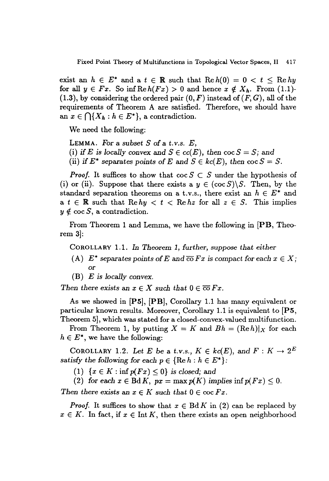exist an  $h \in E^*$  and a  $t \in \mathbb{R}$  such that  $\text{Re } h(0) = 0 < t \leq \text{Re } hy$ for all  $y \in Fx$ . So inf  $\text{Re } h(Fx) > 0$  and hence  $x \notin X_h$ . From (1.1)- $(1.3)$ , by considering the ordered pair  $(0, F)$  instead of  $(F, G)$ , all of the requirements of Theorem A are satisfied. Therefore, we should have an  $x \in \bigcap \{X_h : h \in E^*\}$ , a contradiction.

We need the following:

LEMMA. For a *subset* 5 of a t.*V.s. E,* (i) if E is locally convex and  $S \in cc(E)$ , then  $\cos S = S$ ; and (ii) if  $E^*$  separates points of E and  $S \in kc(E)$ , then  $\cos S = S$ .

*Proof.* It suffices to show that  $\operatorname{coc} S \subset S$  under the hypothesis of (i) or (ii). Suppose that there exists a  $y \in (\cos S) \setminus S$ . Then, by the standard separation theorems on a t.v.s., there exist an  $h \in E^*$  and a  $t \in \mathbb{R}$  such that  $\text{Re } hy < t < \text{Re }hz$  for all  $z \in S$ . This implies  $y \notin \text{coc } S$ , a contradiction.

From Theorem 1 and Lemma, we have the following in [PB, Theorem 3]:

COROLLARY 1.1. In *Theorem* 1, *further, suppose that either*

- (A)  $E^*$  *separates points of*  $E$  *and*  $\overline{co} Fx$  *is compact for each*  $x \in X$ ; or
- (B) *E* is *locally convex.*

*Then there exists* an  $x \in X$  *such that*  $0 \in \overline{co}Fx$ .

As we showed in [P5], [PB], Corollary 1.1 has many equivalent or particular known results. Moreover, Corollary 1.1 is equivalent to [P5, Theorem 5], which was stated for a closed-convex-valued multifunction.

From Theorem 1, by putting  $X = K$  and  $Bh = (\text{Re } h)|_X$  for each  $h \in E^*$ , we have the following:

COROLLARY 1.2. Let E be a t.v.s.,  $K \in kc(E)$ , and  $F: K \to 2^E$ *satisfy* the following for each  $p \in \{ \text{Re } h : h \in E^* \}$ :

 $(1)$   $\{x \in K : \inf p(Fx) \leq 0\}$  *is closed;* and

(2) for each  $x \in \text{Bd } K$ ,  $px = \max p(K)$  implies  $\inf p(Fx) \leq 0$ . *Then there exists* an  $x \in K$  *such that*  $0 \in \text{coc} Fx$ *.* 

*Proof.* It suffices to show that  $x \in B\mathrm{d} K$  in (2) can be replaced by  $x \in K$ . In fact, if  $x \in \text{Int } K$ , then there exists an open neighborhood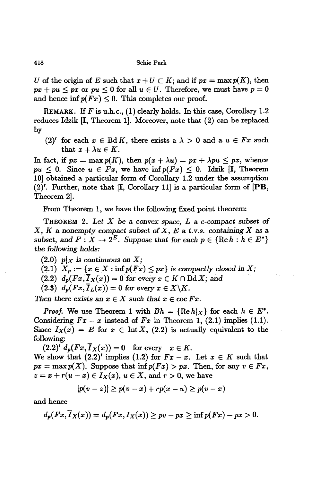*U* of the origin of *E* such that  $x + U \subset K$ ; and if  $px = max p(K)$ , then  $px + pu \le px$  or  $pu \le 0$  for all  $u \in U$ . Therefore, we must have  $p = 0$ and hence inf $p(F_x) \leq 0$ . This completes our proof.

REMARK. IT *F* is u.h.c., (I) clearly holds. In this case, Corollary 1.2 reduces Idzik [I, Theorem 1]. Moreover, note that (2) can be replaced by

(2)' for each  $x \in \text{Bd } K$ , there exists a  $\lambda > 0$  and a  $u \in Fx$  such that  $x + \lambda u \in K$ .

In fact, if  $px = \max p(K)$ , then  $p(x + \lambda u) = px + \lambda pu \le px$ , whence  $pu \leq 0$ . Since  $u \in Fx$ , we have  $\inf p(Fx) \leq 0$ . Idzik [I, Theorem 10] obtained a particular form of Corollary 1.2 under the assumption  $(2)'$ . Further, note that [I, Corollary 11] is a particular form of [PB, Theorem 2].

From Theorem 1, we have the following fixed point theorem:

THEOREM 2. Let *X* be a convex space, *Lac-compact subset* of  $X, K$  a nonempty compact *subset* of  $X, E$  a t.v.s. containing  $X$  as a *subset,* and  $F: X \to 2^E$ . *Suppose that for each*  $p \in \{ \text{Re } h : h \in E^* \}$ the *following holds:*

 $(2.0)$  *p*|*x is* continuous on *X*;

(2.1)  $X_p := \{x \in X : \inf p(Fx) \le px\}$  is compactly closed in *X*;

 $(2.2)$   $d_p(Fx, \overline{I}_X(x)) = 0$  for every  $x \in K \cap \text{Bd} X$ ; and

 $(2.3)$   $d_p(Fx, \overline{I}_L(x)) = 0$  for every  $x \in X \backslash K$ .

Then there exists an  $x \in X$  such that  $x \in \text{coc } Fx$ .

*Proof.* We use Theorem 1 with  $Bh = \{ \text{Re } h | x \}$  for each  $h \in E^*$ . Considering  $Fx - x$  instead of  $Fx$  in Theorem 1, (2.1) implies (1.1). Since  $I_X(x) = E$  for  $x \in \text{Int } X$ , (2.2) is actually equivalent to the following:

 $(2.2)'$   $d_p(Fx, \overline{I}_X(x)) = 0$  for every  $x \in K$ . We show that  $(2.2)'$  implies  $(1.2)$  for  $Fx - x$ . Let  $x \in K$  such that  $px = \max p(X)$ . Suppose that  $\inf p(Fx) > px$ . Then, for any  $v \in Fx$ ,  $z = x + r(u - x) \in I_X(x)$ ,  $u \in X$ , and  $r > 0$ , we have

$$
|p(v-z)| \geq p(v-x) + rp(x-u) \geq p(v-x)
$$

and hence

$$
d_p(Fx,\overline{I}_X(x))=d_p(Fx,I_X(x))\geq pv-px\geq \inf p(Fx)-px>0.
$$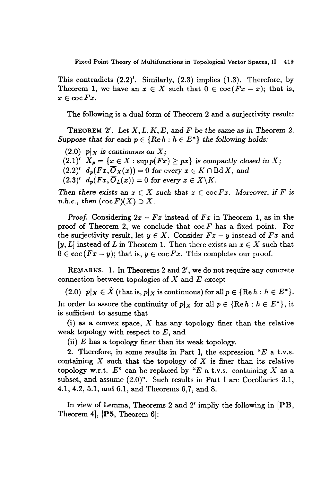Fixed Point Theory of Multifunetions in Topological Vector Spaces, II 419

This contradicts  $(2.2)'$ . Similarly,  $(2.3)$  implies  $(1.3)$ . Therefore, by Theorem 1, we have an  $x \in X$  such that  $0 \in \text{coc}(Fx-x)$ ; that is,  $x \in \operatorname{coc} F x.$ 

The following is a dual form of Theorem 2 and a surjectivity result:

THEOREM 2'. Let *X,L,K,E,* and *F* be *the* same as in *Theorem 2. Suppose* that for each  $p \in \{Re\ h : h \in E^*\}$  the following holds:

- $(2.0)$  pl<sub>x</sub> is continuous on X;
- $(2.1)'$   $X_p = \{x \in X : \sup p(Fx) \ge px\}$  *is compactly closed in X;*
- $(2.2)'$  *d<sub>p</sub>* $(Fx, \overline{O}_X(x)) = 0$  for every  $x \in K \cap B \times \mathbb{R}$ ; and
- $(2.3)'$   $d_p(Fx, \overline{O}_L(x)) = 0$  for every  $x \in X \backslash K$ .

*Then* there exists an  $x \in X$  such that  $x \in \text{coc} Fx$ . Moreover, if F is *u.h.c., then*  $(\operatorname{coc} F)(X) \supset X$ .

*Proof.* Considering  $2x - Fx$  instead of  $Fx$  in Theorem 1, as in the proof of Theorem 2, we conclude that coc *F* has a fixed point. For the surjectivity result, let  $y \in X$ . Consider  $Fx - y$  instead of  $Fx$  and  $[y, L]$  instead of L in Theorem 1. Then there exists an  $x \in X$  such that  $0 \in \text{coc}(Fx - y)$ ; that is,  $y \in \text{coc}Fx$ . This completes our proof.

REMARKS. 1. In Theorems 2 and 2', we do not require any concrete connection between topologies of  $X$  and  $E$  except

(2.0)  $p|_X \in \hat{X}$  (that is,  $p|_X$  is continuous) for all  $p \in \{ \text{Re } h : h \in E^* \}.$ In order to assure the continuity of  $p|_X$  for all  $p \in \{ \text{Re } h : h \in E^* \}$ , it is sufficient to assume that

(i) as a convex space, *X* has any topology finer than the relative weak topology with respect to  $E$ , and

(ii)  $E$  has a topology finer than its weak topology.

2. Therefore, in some results in Part I, the expression " $E$  a t.v.s. containing *X* such that the topology of *X* is finer than its relative topology w.r.t.  $E^{\prime\prime}$  can be replaced by "E a t.v.s. containing X as a subset, and assume (2.0)". Such results in Part I are Corollaries 3.1, 4.1,4.2, 5.1, and 6.1, and Theorems 6,7, and 8.

In view of Lemma, Theorems 2 and 2' impliy the following in [PB, Theorem 4], [P5, Theorem 6]: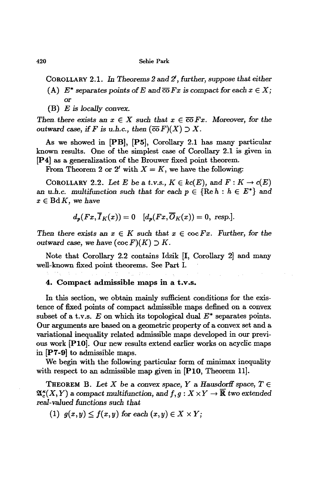COROLLARY 2.1. In *Theorems* 2 and Z, *further, suppose that either*

- (A)  $E^*$  separates points of E and  $\overline{co} Fx$  is compact for each  $x \in X$ ; or
- (B) *E is locally* convex.

Then there exists an  $x \in X$  such that  $x \in \overline{co}Fx$ . Moreover, for the *outward* case, *if F is u.h.c., then*  $(\overline{co} F)(X) \supset X$ .

As we showed in [PB], [P5], Corollary 2.1 has many particular known results. One of the simplest case of Corollary 2.1 is given in [P4] as a generalization of the Brouwer fixed point theorem.

From Theorem 2 or 2' with  $X = K$ , we have the following:

COROLLARY 2.2. Let *E* be a *t.v.s.*,  $K \in kc(E)$ , and  $F: K \to c(E)$ an *u.h.c.* multifunction such that for each  $p \in \{ \text{Re } h : h \in E^* \}$  and  $x \in B\mathrm{d}K$ , we have

$$
d_p(Fx,\overline{I}_K(x))=0 \quad [d_p(Fx,\overline{O}_K(x))=0, \text{ resp.}].
$$

*Then there exists* an  $x \in K$  *such that*  $x \in \text{coc}Fx$ *. Further, for the* outward case, we have  $(\operatorname{coc} F)(K) \supset K$ .

Note that Corollary 2.2 contains Idzik [I, Corollary 2] and many well-known fixed point theorems. See Part 1.

### 4. Compact admissible maps in a t.v.s.

In this section, we obtain mainly sufficient conditions for the existence of fixed points of compact admissible maps defined on a convex subset of a t.v.s.  $E$  on which its topological dual  $E^*$  separates points. Our arguments are based on a geometric property of a convex set and a variational inequality related admissible maps developed in our previous work [PlO]. Our new results extend earlier works on acyclic maps in [P7-9] to admissible maps.

We begin with the following particular form of minimax inequality with respect to an admissible map given in [P10, Theorem 11].

THEOREM B. Let *X* be a convex space, *Y* a *Hausdorff* space,  $T \in$  $\mathfrak{A}_{c}^{\kappa}(X, Y)$  a compact multifunction, and  $f, g: X \times Y \to \overline{\mathbb{R}}$  two extended *real-valued functions such that*

 $(1)$   $g(x, y) \leq f(x, y)$  for each  $(x, y) \in X \times Y$ ;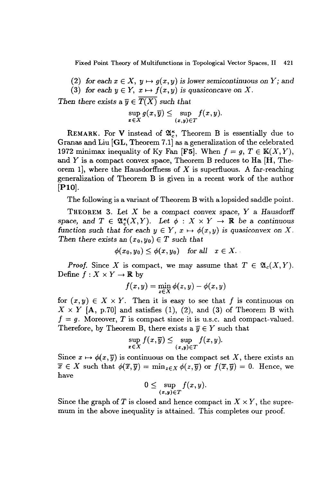Fixed Point Theory of Multifunctions in Topological Vector Spaces, 11 421

(2) for each  $x \in X$ ,  $y \mapsto g(x, y)$  is lower semicontinuous on Y; and (3) for each  $y \in Y$ ,  $x \mapsto f(x,y)$  is quasiconcave on X.

*Then there exists* a  $\overline{y} \in \overline{T(X)}$  *such that* 

$$
\sup_{x\in X} g(x,\overline{y}) \leq \sup_{(x,y)\in T} f(x,y).
$$

REMARK. For V instead of  $\mathfrak{A}_{c}^{\kappa}$ , Theorem B is essentially due to Granas and Liu [GL, Theorem 7.1] as a generalization of the celebrated 1972 minimax inequality of Ky Fan [F5]. When  $f = g, T \in K(X, Y)$ , and  $Y$  is a compact convex space, Theorem B reduces to Ha  $[H, The$ orem 1, where the Hausdorffness of  $X$  is superfluous. A far-reaching generalization of Theorem B is given in a recent work of the author [PlO].

The following is a variant of Theorem B with a lopsided saddle point.

THEOREM 3. *Let* X be a compact convex space, *Y* a Hausdorff space, and  $T \in \mathfrak{A}_{\epsilon}^{\kappa}(X, Y)$ . Let  $\phi : X \times Y \to \mathbb{R}$  be a continuous *function* such that for each  $y \in Y$ ,  $x \mapsto \phi(x, y)$  is quasiconvex on X. *Then there exists* an  $(x_0, y_0) \in T$  *such that* 

$$
\phi(x_0,y_0)\leq \phi(x,y_0)\quad\text{for all}\quad x\in X.
$$

*Proof.* Since X is compact, we may assume that  $T \in \mathfrak{A}_{c}(X, Y)$ . Define  $f: X \times Y \to \mathbb{R}$  by

$$
f(x,y) = \min_{z \in X} \phi(z,y) - \phi(x,y)
$$

for  $(x, y) \in X \times Y$ . Then it is easy to see that f is continuous on  $X \times Y$  [A, p.70] and satisfies (1), (2), and (3) of Theorem B with  $f = g$ . Moreover, *T* is compact since it is u.s.c. and compact-valued. Therefore, by Theorem B, there exists a  $\overline{y} \in Y$  such that

$$
\sup_{x \in X} f(x, \overline{y}) \leq \sup_{(x,y) \in T} f(x, y).
$$

Since  $x \mapsto \phi(x, \overline{y})$  is continuous on the compact set X, there exists an  $\overline{x} \in X$  such that  $\phi(\overline{x}, \overline{y}) = \min_{z \in X} \phi(z, \overline{y})$  or  $f(\overline{x}, \overline{y}) = 0$ . Hence, we have

$$
0\leq \sup_{(x,y)\in T}f(x,y).
$$

Since the graph of *T* is closed and hence compact in  $X \times Y$ , the supremum in the above inequality is attained. This completes our proof.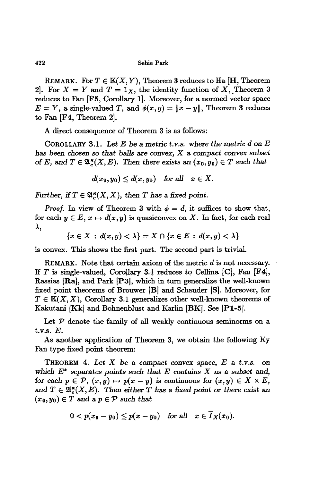REMARK. For  $T \in K(X, Y)$ , Theorem 3 reduces to Ha [H, Theorem 2. For  $X = Y$  and  $T = 1_X$ , the identity function of X, Theorem 3 reduces to Fan [F5, Corollary 1]. Moreover, for a normed vector space  $E = Y$ , a single-valued T, and  $\phi(x, y) = ||x - y||$ , Theorem 3 reduces to Fan [F4, Theorem 2].

A direct consequence of Theorem 3 is as follows:

COROLLARY 3.1. Let  $E$  be a metric *t.v.s.* where the metric  $d$  on  $E$ *has been chosen* so *that balls* are *convex,* X a compact *convex subset* of *E*, and  $T \in \mathfrak{A}_{\kappa}^{\kappa}(X, E)$ . Then there exists an  $(x_0, y_0) \in T$  such that

 $d(x_0, y_0) \leq d(x, y_0)$  *for all*  $x \in X$ .

*Further,* if  $T \in \mathfrak{A}_{c}^{\kappa}(X, X)$ , then T has a fixed point.

*Proof.* In view of Theorem 3 with  $\phi = d$ , it suffices to show that, for each  $y \in E$ ,  $x \mapsto d(x, y)$  is quasiconvex on X. In fact, for each real  $\lambda$ .

 ${x \in X : d(x, y) < \lambda} = X \cap {x \in E : d(x, y) < \lambda}$ 

is convex. This shows the first part. The second part is trivial.

REMARK. Note that certain axiom of the metric *d* is not necessary. If T is single-valued, Corollary 3.1 reduces to Cellina  $[C]$ , Fan  $[F4]$ , Rassias [Ra], and Park [P3], which in turn generalize the well-known fixed point theorems of Brouwer [B] and Schauder [S]. Moreover, for  $T \in K(X, X)$ , Corollary 3.1 generalizes other well-known theorems of Kakutani [Kk] and Bohnenblust and Karlin [BK]. See [Pt-5].

Let  $P$  denote the family of all weakly continuous seminorms on a t.v.s. E.

As another application of Theorem 3, we obtain the following Ky Fan type fixed point theorem:

THEOREM 4. Let  $X$  be a compact convex space,  $E$  a t.v.s. on *which E\** separates *points such that E* contains *X* as a *subset* and, *for* each  $p \in \mathcal{P}$ ,  $(x, y) \mapsto p(x - y)$  *is continuous for*  $(x, y) \in X \times E$ , and  $T \in \mathfrak{A}_{\epsilon}^{\kappa}(X, E)$ . Then either T has a fixed point or there exist an  $(x_0, y_0) \in T$  and a  $p \in \mathcal{P}$  *such that* 

$$
0 < p(x_0 - y_0) \leq p(x - y_0) \quad \text{for all} \quad x \in \overline{I}_X(x_0).
$$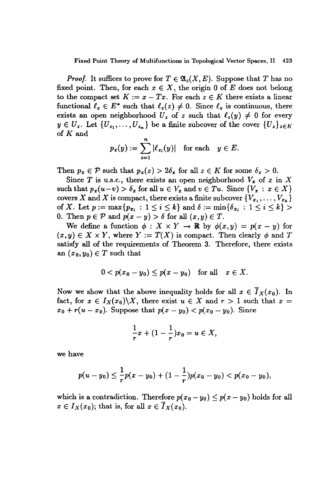### Fixed Point Theory of Multifunctions in Topological Vector Spaces, II 423

*Proof.* It suffices to prove for  $T \in \mathfrak{A}_{c}(X, E)$ . Suppose that *T* has no fixed point. Then, for each  $x \in X$ , the origin 0 of *E* does not belong to the compact set  $K := x - Tx$ . For each  $z \in K$  there exists a linear functional  $\ell_z \in E^*$  such that  $\ell_z(z) \neq 0$ . Since  $\ell_z$  is continuous, there exists an open neighborhood  $U_z$  of *z* such that  $\ell_z(y) \neq 0$  for every  $y \in U_z$ . Let  $\{U_{z_1}, \ldots, U_{z_n}\}$  be a finite subcover of the cover  $\{U_z\}_{z \in K}$ of  $K$  and

$$
p_x(y) := \sum_{i=1}^n |\ell_{x_i}(y)| \text{ for each } y \in E.
$$

Then  $p_x \in \mathcal{P}$  such that  $p_x(z) > 2\delta_x$  for all  $z \in K$  for some  $\delta_x > 0$ .

Since T is u.s.c., there exists an open neighborhood  $V_x$  of x in X such that  $p_x(u-v) > \delta_x$  for all  $u \in V_x$  and  $v \in Tu$ . Since  $\{V_x : x \in X\}$ covers X and X is compact, there exists a finite subcover  $\{V_{x_1}, \ldots, V_{x_k}\}$ of *X*. Let  $p := max\{p_{x_i} : 1 \le i \le k\}$  and  $\delta := min\{\delta_{x_i} : 1 \le i \le k\} >$ 0. Then  $p \in \mathcal{P}$  and  $p(x - y) > \delta$  for all  $(x, y) \in T$ .

We define a function  $\phi : X \times Y \to \mathbb{R}$  by  $\phi(x, y) = p(x - y)$  for  $(x, y) \in X \times Y$ , where  $Y := T(X)$  is compact. Then clearly  $\phi$  and T satisfy all of the requirements of Theorem 3. Therefore, there exists an  $(x_0, y_0) \in T$  such that

$$
0 < p(x_0 - y_0) \le p(x - y_0) \quad \text{for all} \quad x \in X.
$$

Now we show that the above inequality holds for all  $x \in \overline{I}_X(x_0)$ . In fact, for  $x \in I_X(x_0) \backslash X$ , there exist  $u \in X$  and  $r > 1$  such that  $x =$  $x_0 + r(u - x_0)$ . Suppose that  $p(x - y_0) < p(x_0 - y_0)$ . Since

$$
\frac{1}{r}x+(1-\frac{1}{r})x_0=u\in X,
$$

we have

$$
p(u - y_0) \leq \frac{1}{r}p(x - y_0) + (1 - \frac{1}{r})p(x_0 - y_0) < p(x_0 - y_0),
$$

which is a contradiction. Therefore  $p(x_0 - y_0) \leq p(x - y_0)$  holds for all  $x \in I_X(x_0)$ ; that is, for all  $x \in \overline{I}_X(x_0)$ .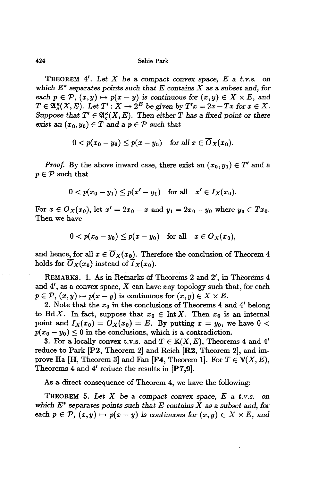THEOREM 4'. *Let <sup>X</sup>* be <sup>a</sup> *compact convex space, Eat.v.s.* on *which E\* separates points* such that *E contains X* as a *subset* and, *for* each  $p \in \mathcal{P}$ ,  $(x, y) \mapsto p(x - y)$  is continuous for  $(x, y) \in X \times E$ , and  $T \in \mathfrak{A}_{c}^{\kappa}(X,E)$ . Let  $T': X \to 2^{E}$  be given by  $T'x = 2x - Tx$  for  $x \in X$ . *Suppose that*  $T' \in \mathfrak{A}_{c}^{\kappa}(X, E)$ . *Then* either *T* has a fixed point or there *exist* an  $(x_0, y_0) \in T$  and a  $p \in \mathcal{P}$  *such that* 

$$
0 < p(x_0 - y_0) \le p(x - y_0) \quad \text{for all } x \in \overline{O}_X(x_0).
$$

*Proof.* By the above inward case, there exist an  $(x_0, y_1) \in T'$  and a  $p \in \mathcal{P}$  such that

$$
0 < p(x_0 - y_1) \le p(x' - y_1) \text{ for all } x' \in I_X(x_0).
$$

For  $x \in O_X(x_0)$ , let  $x' = 2x_0 - x$  and  $y_1 = 2x_0 - y_0$  where  $y_0 \in Tx_0$ . Then we have

$$
0 < p(x_0 - y_0) \le p(x - y_0) \quad \text{for all} \quad x \in O_X(x_0),
$$

and hence, for all  $x \in \overline{O}_X(x_0)$ . Therefore the conclusion of Theorem 4 holds for  $\overline{O}_X(x_0)$  instead of  $\overline{I}_X(x_0)$ .

REMARKS. 1. As in Remarks of Theorems 2 and 2/, in Theorems 4 and  $4'$ , as a convex space,  $X$  can have any topology such that, for each  $p \in \mathcal{P}, (x, y) \mapsto p(x - y)$  is continuous for  $(x, y) \in X \times E$ .

2. Note that the  $x_0$  in the conclusions of Theorems 4 and 4' belong to BdX. In fact, suppose that  $x_0 \in \text{Int } X$ . Then  $x_0$  is an internal point and  $I_X(x_0) = O_X(x_0) = E$ . By putting  $x = y_0$ , we have  $0 <$  $p(x_0 - y_0) \leq 0$  in the conclusions, which is a contradiction.

3. For a locally convex t.v.s. and  $T \in K(X, E)$ , Theorems 4 and 4' reduce to Park [P2, Theorem 2] and Reich [R2, Theorem 2], and improve Ha [H, Theorem 3] and Fan [F4, Theorem 1]. For  $T \in V(X, E)$ , Theorems 4 and 4/ reduce the results in [P7,9].

As a direct consequence of Theorem 4, we have the following:

THEOREM 5. *Let X* be a *compact convex* space, *E* a *t.v.s.* on which *E\* separates points* such that *E contains X* as a *subset* and, *for* each  $p \in \mathcal{P}$ ,  $(x, y) \mapsto p(x - y)$  is continuous for  $(x, y) \in X \times E$ , and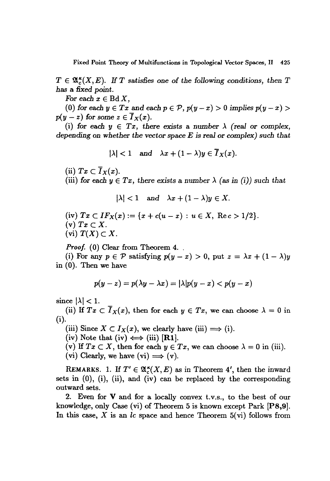$T \in \mathfrak{A}_{c}^{\kappa}(X,E)$ . If T satisfies one of the following conditions, then T has a *fixed point.*

*For* each  $x \in B\mathrm{d} X$ ,

(0) for each  $y \in Tx$  and each  $p \in \mathcal{P}$ ,  $p(y-x) > 0$  implies  $p(y-x) > 0$  $p(y - z)$  for some  $z \in \overline{I}_X(x)$ .

(i) for each  $y \in Tx$ , there exists a number  $\lambda$  (real or complex, *depending* on *whether* the *vector* space *E is real* or *complex)* such *that*

$$
|\lambda|<1 \quad \text{and} \quad \lambda x+(1-\lambda)y\in \overline{I}_X(x).
$$

(ii)  $Tx \subset \overline{I}_X(x)$ .

(iii) for each  $y \in Tx$ , there exists a number  $\lambda$  (as in (i)) such that

$$
|\lambda| < 1 \quad \text{and} \quad \lambda x + (1 - \lambda)y \in X.
$$

(iv)  $Tx \subset IF_X(x) := \{x + c(u - x) : u \in X, \text{ Re } c > 1/2\}.$ (v)  $Tx \subset X$ .

(vi)  $T(X) \subset X$ .

*Proof.* (0) Clear from Theorem 4.

(i) For any  $p \in \mathcal{P}$  satisfying  $p(y-x) > 0$ , put  $z = \lambda x + (1-\lambda)y$ in (0). Then we have

$$
p(y-z) = p(\lambda y - \lambda x) = |\lambda| p(y-x) < p(y-x)
$$

since  $|\lambda| < 1$ .

(ii) If  $Tx \n\subset \overline{I}_X(x)$ , then for each  $y \in Tx$ , we can choose  $\lambda = 0$  in (i).

(iii) Since  $X \subset I_X(x)$ , we clearly have (iii)  $\Longrightarrow$  (i).

(iv) Note that (iv)  $\Longleftrightarrow$  (iii) [R1].

(v) If  $Tx \subset X$ , then for each  $y \in Tx$ , we can choose  $\lambda = 0$  in (iii).

(vi) Clearly, we have (vi)  $\Longrightarrow$  (v).

REMARKS. 1. If  $T' \in \mathfrak{A}_{c}^{\kappa}(X,E)$  as in Theorem 4', then the inward sets in (0), (i), (ii), and (iv) can be replaced by the corresponding outward sets.

2. Even for V and for a locally convex t.v.s., to the best of our knowledge, only Case (vi) of Theorem 5 is known except Park [PS,9]. In this case, *X* is an *le* space and hence Theorem 5(vi) follows from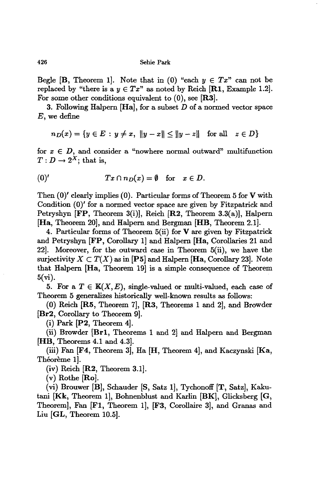Begle [B, Theorem 1]. Note that in (0) "each  $y \in Tx$ " can not be replaced by "there is a  $y \in Tx$ " as noted by Reich [R1, Example 1.2]. For some other conditions equivalent to  $(0)$ , see [R3].

3. Following Halpern  $[Ha]$ , for a subset  $D$  of a normed vector space E, we define

$$
n_D(x) = \{ y \in E : y \neq x, \ \|y - x\| \le \|y - z\| \text{ for all } z \in D \}
$$

for  $x \in D$ , and consider a "nowhere normal outward" multifunction  $T: D \to 2^X$ ; that is,

(0)' 
$$
Tx \cap n_D(x) = \emptyset
$$
 for  $x \in D$ .

Then (0)' clearly implies (0). Particular forms of Theorem 5 for V with Condition (0)' for a normed vector space are given by Fitzpatrick and Petryshyn [FP, Theorem 3(i)], Reich [R2, Theorem 3.3(a)], Halpern [Ha, Theorem 20], and Halpern and Bergman [HB, Theorem 2.1].

4. Particular forms of Theorem 5(ii) for V are given by Fitzpatrick and Petryshyn [FP, Corollary 1] and Halpern [Ha, Corollaries 21 and 22]. Moreover, for the outward case in Theorem 5(ii), we have the surjectivity  $X \subset T(X)$  as in [P5] and Halpern [Ha, Corollary 23]. Note that Halpern [Ha, Theorem 19} is a simple consequence of Theorem 5(vi).

5. For a  $T \in K(X, E)$ , single-valued or multi-valued, each case of Theorem 5 generalizes historically well-known results as follows:

(0) Reich [RS, Theorem 7], [R3, Theorems 1 and 2], and Browder [Br2, Corollary to Theorem 9].

(i) Park [P2, Theorem 4].

(ii) Browder [Brl, Theorems 1 and 2} and Halpern and Bergman [HB, Theorems 4.1 and 4.3}.

(iii) Fan [F4, Theorem 3], Ha [H, Theorem 4], and Kaczynski [Ka, Théorème 1.

(iv) Reich [R2, Theorem 3.1].

 $(v)$  Rothe  $[Ro]$ .

(vi) Brouwer [B], Schauder [8, Satz 1], Tychonoff [T, Satz], Kakutani [Kk, Theorem I}, Bohnenblust and Karlin (BK], Glicksberg (G, Theorem], Fan [FI, Theorem 1], [F3, Corollaire 3], and Granas and Liu [GL, Theorem 10.5].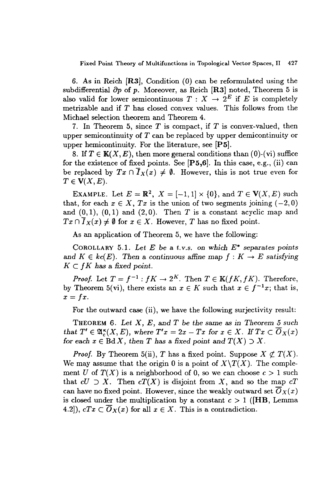Fixed Point Theory of Multifunctions in Topological Vector Spaces, II 427

6. As in Reich [R3], Condition (0) can be reformulated using the subdifferential  $\partial p$  of p. Moreover, as Reich [R3] noted, Theorem 5 is also valid for lower semicontinuous  $T : X \to 2^E$  if *E* is completely metrizable and if *T* has closed convex values. This follows from the Michael selection theorem and Theorem 4.

7. In Theorem 5, since *T* is compact, if *T* is convex-valued, then upper semicontinuity of *T* can be replaced by upper demicontinuity or upper hemicontinuity. For the literature, see [PS].

8. If  $T \in K(X, E)$ , then more general conditions than  $(0)$ -(vi) suffice for the existence of fixed points. See  $[P5,6]$ . In this case, e.g., (ii) can be replaced by  $Tx \cap \overline{I}_X(x) \neq \emptyset$ . However, this is not true even for  $T \in V(X, E).$ 

EXAMPLE. Let  $E = \mathbb{R}^2$ ,  $X = [-1,1] \times \{0\}$ , and  $T \in V(X, E)$  such that, for each  $x \in X$ ,  $Tx$  is the union of two segments joining  $(-2,0)$ and  $(0,1)$ ,  $(0,1)$  and  $(2,0)$ . Then *T* is a constant acyclic map and  $Tx \cap \overline{I}_X(x) \neq \emptyset$  for  $x \in X$ . However, *T* has no fixed point.

As an application of Theorem 5, we have the following:

COROLLARY 5.1. *Let E be* a *t.v.s. on which E\** separates *points* and  $K \in kc(E)$ . Then a continuous affine map  $f: K \to E$  satisfying  $K \subset fK$  has a fixed point.

*Proof.* Let  $T = f^{-1}$ :  $fK \to 2^K$ . Then  $T \in K(fK, fK)$ . Therefore, by Theorem 5(vi), there exists an  $x \in K$  such that  $x \in f^{-1}x$ ; that is,  $x = fx$ .

For the outward case (ii), we have the following surjectivity result:

THEOREM 6. *Let* X, *E,* and *T be the* same as *in Theorem* 5 *such that*  $T' \in \mathfrak{A}_{\epsilon}^{\kappa}(X,E)$ , where  $T'x = 2x - Tx$  for  $x \in X$ . If  $Tx \subset \overline{O}_X(x)$ *for* each  $x \in \text{Bd } X$ , then *T* has a fixed point and  $T(X) \supset X$ .

*Proof.* By Theorem 5(ii), *T* has a fixed point. Suppose  $X \not\subset T(X)$ . We may assume that the origin 0 is a point of  $X\setminus T(X)$ . The complement *U* of  $T(X)$  is a neighborhood of 0, so we can choose  $c > 1$  such that  $cU \supset X$ . Then  $cT(X)$  is disjoint from X, and so the map  $cT$ can have no fixed point. However, since the weakly outward set  $\overline{O}_X(x)$ is closed under the multiplication by a constant  $c > 1$  ([HB, Lemma 4.2]),  $cTx \n\subset \overline{O}_X(x)$  for all  $x \in X$ . This is a contradiction.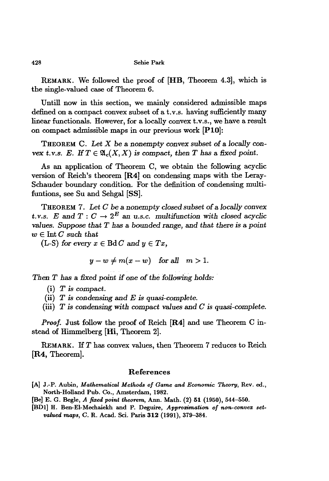REMARK. We followed the proof of [HB, Theorem 4.3], which is the single-valued case of Theorem 6.

Untili now in this section, we mainly considered admissible maps defined on a compact convex subset of a t.v.s. having sufficiently many linear functionals. However, for a locally convex t.v.s., we have a result on compact admissible maps in our previous work [PlO]:

THEOREM C. *Let* X be a nonempty convex subset of a *locally* convex *t.v.s. E.* If  $T \in \mathfrak{A}_c(X,X)$  is compact, then T has a fixed point.

As an application of Theorem C, we obtain the following acyclic version of Reich's theorem [R4] on condensing maps with the Leray-Schauder boundary condition. For the definition of condensing multifuntions, see Su and Sehgal [SS].

THEOREM 7. *Let C* be a *nonempty closed subset* of a *locally convex:* t.v.s. *E* and  $T: C \to 2^E$  an u.s.c. multifunction with closed acyclic *values. Suppose tbat T* bas a *botmded* range, and *tbat tbere is* a *point*  $w \in$  Int  $C$  such that

 $(L-S)$  *for every*  $x \in \text{Bd } C$  *and*  $y \in Tx$ ,

$$
y - w \neq m(x - w) \quad \text{for all} \quad m > 1.
$$

*Tben T* bas a *fixed point if* one of*tbe following bolds: .*

- (i) T *is* compact.
- (ii) *T is condensing* and *E is quasi-complete.*
- (iii) *T* is *condensing witb compact* values and *C is quasi-complete.*

*Proof.* Just follow the proof of Reich [R4] and use Theorem C instead of Himmelberg [Hi, Theorem 2].

REMARK. If*T* has convex values, then Theorem 7 reduces to Reich [R4, Theorem].

### References

- [A] J.-P. Aubin, *Mathematical Methods of Game and Economic Theory,* Rev. 00., North-Holland Pub. Co., Amsterdam, 1982.
- [Be] E. G. Begle, *A fixed point theorem,* Ann. Math. (2) 51 (1950), 544-550.
- [BD1] H. Ben-EI-Mechaiekh and P. Deguire, *Approzimation of non-convex setvalued maps,* C. R. Acad. Sci. Paris 312 (1991), 379-384.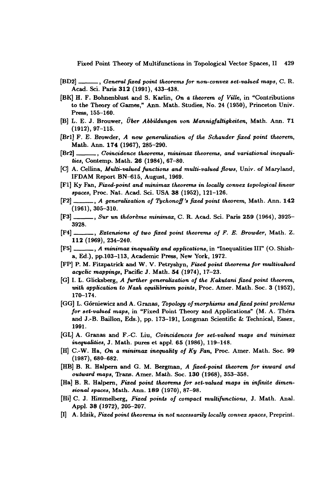Fixed Point Theory of Multifunctions in Topological Vector Spaces, 11 429

- [BD2] , *General fi:ted point theorems for non-convex set-valued maps,* C. R. Acad. Sci. Paris 312 (1991), 433-438.
- [BK] H. F. Bohnenblust and S. Karlin, *On a theorem of Ville,* in "Contributions to the Theory of Games," Ann. Math. Studies, No. 24 (1950), Princeton Univ. Press, 155-160.
- [B] L. E. J. Brouwer, *Uber Abbildungen von Mannigfaltigkeiten,* Math. Ann. 71 (1912),97-115.
- [Brl] F. E. Browder, *A new generalization of the Schauder fi:ted point theorem,* Math. Ann. 174 (1967), 285-290.
- [Br2] , *Coincidence theorems, minimax theorems, and variational inequalities,* Contemp. Math. 26 (1984), 67-80.
- ICl A. Cellina, *Multi-valued junctions and multi-valued flows,* Univ. of Maryland, IFDAM Report BN-615, August, 1969.
- [Fl] Ky Fan, *Fized-point and minimax theorems in locally convex topological linear spaces,* Proc. Nat. Acad. Sci. USA 38 (1952), 121-126.
- [F2] , *A generalization of Tychonofl'lI fi:ted point theorem,* Math. Ann. 142 (1961), 305-310.
- [F3] , *Sur* un *theoreme minimax,* C. R. Acad. Sci. Paris 2S9 (1964),3925- 3928.
- [F4] , *Extensions of two fi:ted point theorems of F. E. Browder,* Math. Z. 112 (1969), 234-240.
- [F5] , *A minimax inequality and applications,* in "Inequalities Ill" (0. Shisha, Ed.), pp.l03-113, Academic Press, New York, 1972.
- [FP] P. M. Fitzpatrick and W. V. Petryshyn, *Fized point theorems for multivalued acyclic mappings,* Pacific J. Math. S4 (1974), 17-23.
- [G] I. L. Glicksberg, *A jurther generalization of the Kakutani fi:ted point theorem, with application to Nash equilibrium points,* Proc. Amer. Math. Soc. 3 (1952), 170-174.
- [GG] L. G6rniewicz and A. Granas, *Topology ofmorphisms and fi:ted point problems for set-valued maps,* in "Fixed Point Theory and Applications" (M. A. Thera and J.-B. Baillon, Eds.), pp. 173-191, Longman Scientific & Technical, Essex, 1991.
- [GL] A. Granas and F.-C. Liu, *Coincidences for set-valued maps and minimax inequalities,* J. Math. pures et appl. 65 (1986), 119-148.
- [H] C.-W. Ha, *On a minimax inequality of Ky Fan,* Proc. Amer. Math. Soc. 99 (1987), 680-682.
- (HB] B. R. Halpern and G. M. Bergman, *A fi:ted-point theorem for inward and outward maps, Trans. Amer. Math. Soc.* 130 (1968), 353-358.
- [Ha] B. R. Halpem, *Fized point theorems for set-valued maps in infinite dimensional spaces,* Math. Ann. 189 (1970), 87-98.
- [Hi] C. J. Himmelberg, *Fixed points of compact multijunctions,* J. Math. Anal. Appl. 38 (1972), 205-207.
- (I] A. Idzik, *Fixed point theorems* in *not necessarily locally convex spaces,* Preprint.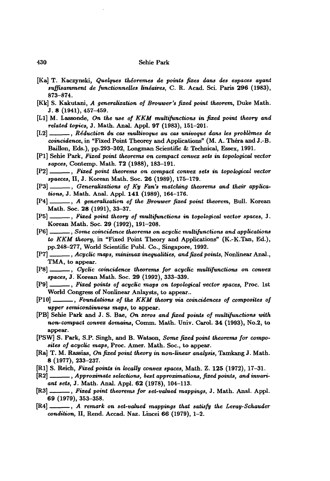- [Ka] T. Kaczynski, *Quelques theoremes de points fixes dans des espaces ayant suffisamment de functionnelles lineaires,* C. R. Acad. Sci. Paris 296 (1983), 873-874.
- [Kk] S. Kakutani, *A generalization of Brouwer's fixed point theorem,* Duke Math. J.8 (1941),457-459.
- [Ll] M. Lassonde, *On the use of KKM multifunctions in fixed point theory and related topics,* J. Math. Anal. Appl. 97 (1983), 151-201.
- [L2] , *Reduction* du *cas multivoque* au *cas univoque dans les problemes de coincidence,* in "Fixed Point Theorey and Applications" (M. A. Thera and J.-B. Baillon, Eds.), pp.293-302, Longman Scientific & Technical, Essex, 1991.
- [PI] Sehie Park, *Fixed point theorems on compact convex sets in topological vector sapces,* Contemp. Math. 12 (1988), 183-191.
- [P2] , *Fixed point theorems on compact convex sets in topological vector spaeces,* Il, J. Korean Math. Soc. 26 (1989), 175-179.
- [P3] , *Generalizations of Ky Fan's matching theorems and their applications,* J. Math. Anal. Appl. 141 (1989), 164-176.
- [P4] , *A generalization of the Brouwer fixed point theorem,* Bull. Korean Math. Soc. 28 (1991), 33-37.
- [P5] , *Fixed point theory of multifunctions in topological vector spaces,* J. Korean Math. Soc. 29 (1992), 191-208.
- [P6] , *Some coincidence theorems on acyclic multifunctions and applications to KKM theory,* in "Fixed Point Theory and Applications" (K.-K.Tan, Ed.), pp.248-217, World Scientific Publ. Co., Singapore, 1992.
- [P7] , *Acyclic maps, minimax inequalities, and fixed points,* Nonlinear Anal., TMA, to appear.
- [P8] , *.Cyclic coincidence theorems.. far acyclic multifunctions on convex . spaces,* J. Korean Math. Soc. 29 (1992), 333-339.
- [P9] , *Fixed points of acyclic maps on topological vector spaces,* Proc. 1st World Congress of Nonlinear Anlaysts, to appear..
- [PlO] , *Foundations of the KKM theory via coincidences of composites of upper semicontinuous maps,* to appear.
- [PB] Sehie Park and J. S. Bae, *On zeros and fixed points of multifunctions with non-compact convex domains,* Comm. Math. Univ. Carol. 34 (1993), No.2, to appear.
- [PSW] S. Park, S.P. Singh, and B. Watson, *Some fixed point theorems for composites of acyclic maps,* Proc. Amer. Math. Soc., to appear.
- [Ra] T. M. Rassias, *On fixed point theory in non-linear analysis,* Tamkang J. Math. 8 (1977), 233-237.
- [RI] S. Reich, *Fixed points in locally convex spaces,* Math. Z. 125 (1972), 17-31.
- [R2] , *Approximate selections, best approximations, fixed points, and invariant sets,* J. Math. Anal. Appl. 62 (1978), 104-113.
- [Ra] , *Fixed point theorems for set-valued mappings,* J. Math. Anal. Appl. 69 (1979), 353-358.
- [R4] , *A remark on set-valued mappings that satisfy the Leray-Schauder condition,* 11, Rend. Accad. Naz. Lincei 66 (1979), 1-2.